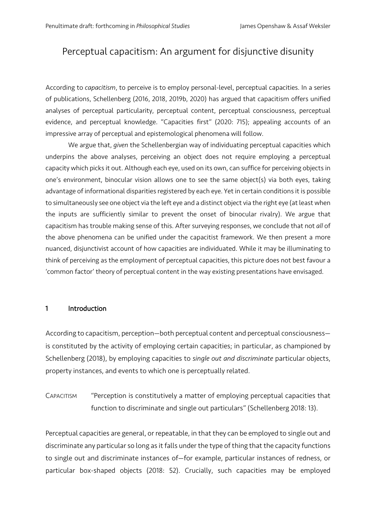# Perceptual capacitism: An argument for disjunctive disunity

According to *capacitism*, to perceive is to employ personal-level, perceptual capacities. In a series of publications, Schellenberg (2016, 2018, 2019b, 2020) has argued that capacitism offers unified analyses of perceptual particularity, perceptual content, perceptual consciousness, perceptual evidence, and perceptual knowledge. "Capacities first" (2020: 715); appealing accounts of an impressive array of perceptual and epistemological phenomena will follow.

We argue that, *given* the Schellenbergian way of individuating perceptual capacities which underpins the above analyses, perceiving an object does not require employing a perceptual capacity which picks it out. Although each eye, used on its own, can suffice for perceiving objects in one's environment, binocular vision allows one to see the same object(s) via both eyes, taking advantage of informational disparities registered by each eye. Yet in certain conditions it is possible to simultaneously see one object via the left eye and a distinct object via the right eye (at least when the inputs are sufficiently similar to prevent the onset of binocular rivalry). We argue that capacitism has trouble making sense of this. After surveying responses, we conclude that not *all* of the above phenomena can be unified under the capacitist framework. We then present a more nuanced, disjunctivist account of how capacities are individuated. While it may be illuminating to think of perceiving as the employment of perceptual capacities, this picture does not best favour a 'common factor' theory of perceptual content in the way existing presentations have envisaged.

# 1 Introduction

According to capacitism, perception—both perceptual content and perceptual consciousness is constituted by the activity of employing certain capacities; in particular, as championed by Schellenberg (2018), by employing capacities to *single out and discriminate* particular objects, property instances, and events to which one is perceptually related.

CAPACITISM "Perception is constitutively a matter of employing perceptual capacities that function to discriminate and single out particulars" (Schellenberg 2018: 13).

Perceptual capacities are general, or repeatable, in that they can be employed to single out and discriminate any particular so long as it falls underthe type of thing that the capacity functions to single out and discriminate instances of—for example, particular instances of redness, or particular box-shaped objects (2018: 52). Crucially, such capacities may be employed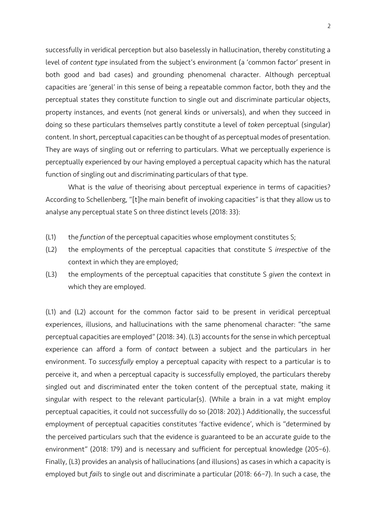successfully in veridical perception but also baselessly in hallucination, thereby constituting a level of *content type* insulated from the subject's environment (a 'common factor' present in both good and bad cases) and grounding phenomenal character. Although perceptual capacities are 'general' in this sense of being a repeatable common factor, both they and the perceptual states they constitute function to single out and discriminate particular objects, property instances, and events (not general kinds or universals), and when they succeed in doing so these particulars themselves partly constitute a level of *token* perceptual (singular) content. In short, perceptual capacities can be thought of as perceptual modes of presentation. They are ways of singling out or referring to particulars. What we perceptually experience is perceptually experienced by our having employed a perceptual capacity which has the natural function of singling out and discriminating particulars of that type.

What is the *value* of theorising about perceptual experience in terms of capacities? According to Schellenberg, "[t]he main benefit of invoking capacities" is that they allow us to analyse any perceptual state S on three distinct levels (2018: 33):

- (L1) the *function* of the perceptual capacities whose employment constitutes S;
- (L2) the employments of the perceptual capacities that constitute S *irrespective* of the context in which they are employed;
- (L3) the employments of the perceptual capacities that constitute S *given* the context in which they are employed.

(L1) and (L2) account for the common factor said to be present in veridical perceptual experiences, illusions, and hallucinations with the same phenomenal character: "the same perceptual capacities are employed" (2018: 34). (L3) accounts for the sense in which perceptual experience can afford a form of *contact* between a subject and the particulars in her environment. To *successfully* employ a perceptual capacity with respect to a particular is to perceive it, and when a perceptual capacity is successfully employed, the particulars thereby singled out and discriminated enter the token content of the perceptual state, making it singular with respect to the relevant particular(s). (While a brain in a vat might employ perceptual capacities, it could not successfully do so (2018: 202).) Additionally, the successful employment of perceptual capacities constitutes 'factive evidence', which is "determined by the perceived particulars such that the evidence is guaranteed to be an accurate guide to the environment" (2018: 179) and is necessary and sufficient for perceptual knowledge (205–6). Finally, (L3) provides an analysis of hallucinations (and illusions) as cases in which a capacity is employed but *fails* to single out and discriminate a particular (2018: 66–7). In such a case, the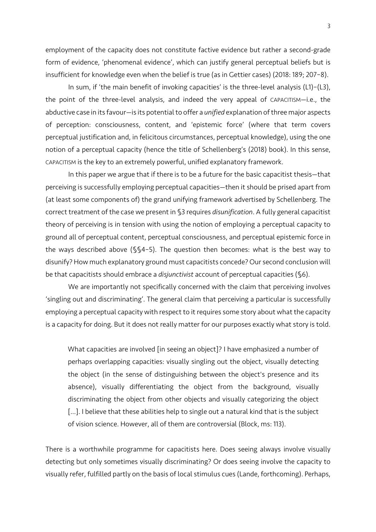employment of the capacity does not constitute factive evidence but rather a second-grade form of evidence, 'phenomenal evidence', which can justify general perceptual beliefs but is insufficient for knowledge even when the belief is true (as in Gettier cases) (2018: 189; 207–8).

In sum, if 'the main benefit of invoking capacities' is the three-level analysis (L1)–(L3), the point of the three-level analysis, and indeed the very appeal of CAPACITISM—i.e., the abductive case in its favour—is its potential to offer a *unified* explanation ofthree major aspects of perception: consciousness, content, and 'epistemic force' (where that term covers perceptual justification and, in felicitous circumstances, perceptual knowledge), using the one notion of a perceptual capacity (hence the title of Schellenberg's (2018) book). In this sense, CAPACITISM is the key to an extremely powerful, unified explanatory framework.

In this paper we argue that if there is to be a future for the basic capacitist thesis—that perceiving is successfully employing perceptual capacities—then it should be prised apart from (at least some components of) the grand unifying framework advertised by Schellenberg. The correct treatment of the case we present in §3 requires *disunification*. A fully general capacitist theory of perceiving is in tension with using the notion of employing a perceptual capacity to ground all of perceptual content, perceptual consciousness, and perceptual epistemic force in the ways described above (§§4–5). The question then becomes: what is the best way to disunify? How much explanatory ground must capacitists concede? Our second conclusion will be that capacitists should embrace a *disjunctivist* account of perceptual capacities (§6).

We are importantly not specifically concerned with the claim that perceiving involves 'singling out and discriminating'. The general claim that perceiving a particular is successfully employing a perceptual capacity with respect to it requires some story about what the capacity is a capacity for doing. But it does not really matter for our purposes exactly what story is told.

What capacities are involved [in seeing an object]? I have emphasized a number of perhaps overlapping capacities: visually singling out the object, visually detecting the object (in the sense of distinguishing between the object's presence and its absence), visually differentiating the object from the background, visually discriminating the object from other objects and visually categorizing the object [...]. I believe that these abilities help to single out a natural kind that is the subject of vision science. However, all of them are controversial (Block, ms: 113).

There is a worthwhile programme for capacitists here. Does seeing always involve visually detecting but only sometimes visually discriminating? Or does seeing involve the capacity to visually refer, fulfilled partly on the basis of local stimulus cues (Lande, forthcoming). Perhaps,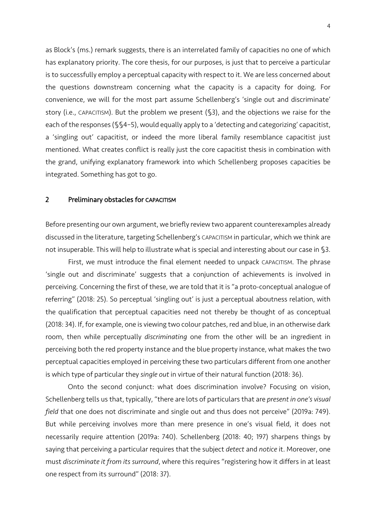as Block's (ms.) remark suggests, there is an interrelated family of capacities no one of which has explanatory priority. The core thesis, for our purposes, is just that to perceive a particular is to successfully employ a perceptual capacity with respect to it. We are less concerned about the questions downstream concerning what the capacity is a capacity for doing. For convenience, we will for the most part assume Schellenberg's 'single out and discriminate' story (i.e., CAPACITISM). But the problem we present (§3), and the objections we raise for the each of the responses (§§4–5), would equally apply to a 'detecting and categorizing' capacitist, a 'singling out' capacitist, or indeed the more liberal family resemblance capacitist just mentioned. What creates conflict is really just the core capacitist thesis in combination with the grand, unifying explanatory framework into which Schellenberg proposes capacities be integrated. Something has got to go.

# 2 Preliminary obstacles for CAPACITISM

Before presenting our own argument, we briefly review two apparent counterexamples already discussed in the literature, targeting Schellenberg's CAPACITISM in particular, which we think are not insuperable. This will help to illustrate what is special and interesting about our case in §3.

First, we must introduce the final element needed to unpack CAPACITISM. The phrase 'single out and discriminate' suggests that a conjunction of achievements is involved in perceiving. Concerning the first of these, we are told that it is "a proto-conceptual analogue of referring" (2018: 25). So perceptual 'singling out' is just a perceptual aboutness relation, with the qualification that perceptual capacities need not thereby be thought of as conceptual (2018: 34). If, for example, one is viewing two colour patches, red and blue, in an otherwise dark room, then while perceptually *discriminating* one from the other will be an ingredient in perceiving both the red property instance and the blue property instance, what makes the two perceptual capacities employed in perceiving these two particulars different from one another is which type of particular they *single out* in virtue of their natural function (2018: 36).

Onto the second conjunct: what does discrimination involve? Focusing on vision, Schellenberg tells us that, typically, "there are lots of particulars that are *present in one's visual field* that one does not discriminate and single out and thus does not perceive" (2019a: 749). But while perceiving involves more than mere presence in one's visual field, it does not necessarily require attention (2019a: 740). Schellenberg (2018: 40; 197) sharpens things by saying that perceiving a particular requires that the subject *detect* and *notice* it. Moreover, one must *discriminate it from its surround*, where this requires "registering how it differs in at least one respect from its surround" (2018: 37).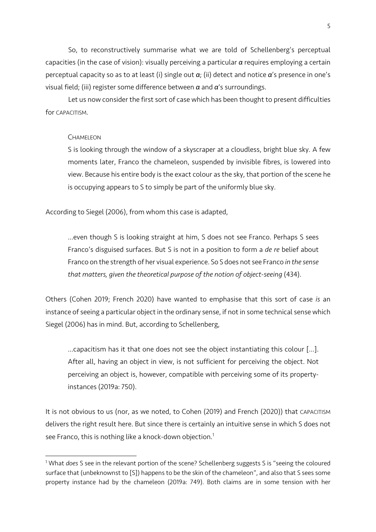So, to reconstructively summarise what we are told of Schellenberg's perceptual capacities (in the case of vision): visually perceiving a particular *α* requires employing a certain perceptual capacity so as to at least (i) single out *α*; (ii) detect and notice *α*'s presence in one's visual field; (iii) register some difference between *α* and *α*'s surroundings.

Let us now consider the first sort of case which has been thought to present difficulties for CAPACITISM.

#### CHAMELEON

S is looking through the window of a skyscraper at a cloudless, bright blue sky. A few moments later, Franco the chameleon, suspended by invisible fibres, is lowered into view. Because his entire body is the exact colour as the sky, that portion of the scene he is occupying appears to S to simply be part of the uniformly blue sky.

According to Siegel (2006), from whom this case is adapted,

…even though S is looking straight at him, S does not see Franco. Perhaps S sees Franco's disguised surfaces. But S is not in a position to form a *de re* belief about Franco on the strength of her visual experience. So S does not see Franco *in the sense that matters, given the theoretical purpose of the notion of object-seeing* (434).

Others (Cohen 2019; French 2020) have wanted to emphasise that this sort of case *is* an instance of seeing a particular object in the ordinary sense, if not in some technical sense which Siegel (2006) has in mind. But, according to Schellenberg,

…capacitism has it that one does not see the object instantiating this colour […]. After all, having an object in view, is not sufficient for perceiving the object. Not perceiving an object is, however, compatible with perceiving some of its propertyinstances (2019a: 750).

It is not obvious to us (nor, as we noted, to Cohen (2019) and French (2020)) that CAPACITISM delivers the right result here. But since there is certainly an intuitive sense in which S does not see Franco, this is nothing like a knock-down objection. $^{\rm 1}$ 

<sup>1</sup> What *does* S see in the relevant portion of the scene? Schellenberg suggests S is "seeing the coloured surface that (unbeknownst to [S]) happens to be the skin of the chameleon", and also that S sees some property instance had by the chameleon (2019a: 749). Both claims are in some tension with her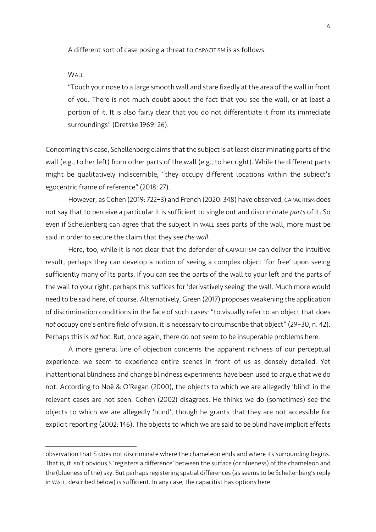A different sort of case posing a threat to CAPACITISM is as follows.

#### W<sub>ALL</sub>

"Touch your nose to a large smooth wall and stare fixedly at the area of the wall in front of you. There is not much doubt about the fact that you see the wall, or at least a portion of it. It is also fairly clear that you do not differentiate it from its immediate surroundings" (Dretske 1969: 26).

Concerning this case, Schellenberg claims that the subject is at least discriminating parts of the wall (e.g., to her left) from other parts of the wall (e.g., to her right). While the different parts might be qualitatively indiscernible, "they occupy different locations within the subject's egocentric frame of reference" (2018: 27).

However, as Cohen (2019: 722–3) and French (2020: 348) have observed, CAPACITISM does not say that to perceive a particular it is sufficient to single out and discriminate *parts* of it. So even if Schellenberg can agree that the subject in WALL sees parts of the wall, more must be said in order to secure the claim that they see *the wall*.

Here, too, while it is not clear that the defender of CAPACITISM can deliver the intuitive result, perhaps they can develop a notion of seeing a complex object 'for free' upon seeing sufficiently many of its parts. If you can see the parts of the wall to your left and the parts of the wall to your right, perhaps this suffices for 'derivatively seeing' the wall. Much more would need to be said here, of course. Alternatively, Green (2017) proposes weakening the application of discrimination conditions in the face of such cases: "to visually refer to an object that does *not* occupy one's entire field of vision, it is necessary to circumscribe that object" (29–30, n. 42). Perhaps this is *ad hoc*. But, once again, there do not seem to be insuperable problems here.

A more general line of objection concerns the apparent richness of our perceptual experience: we seem to experience entire scenes in front of us as densely detailed. Yet inattentional blindness and change blindness experiments have been used to argue that we do not. According to Noë & O'Regan (2000), the objects to which we are allegedly 'blind' in the relevant cases are not seen. Cohen (2002) disagrees. He thinks we do (sometimes) see the objects to which we are allegedly 'blind', though he grants that they are not accessible for explicit reporting (2002: 146). The objects to which we are said to be blind have implicit effects

observation that S does not discriminate where the chameleon ends and where its surrounding begins. That is, it isn't obvious S 'registers a difference' between the surface (or blueness) of the chameleon and the (blueness of the) sky. But perhaps registering spatial differences (as seems to be Schellenberg's reply in WALL, described below) is sufficient. In any case, the capacitist has options here.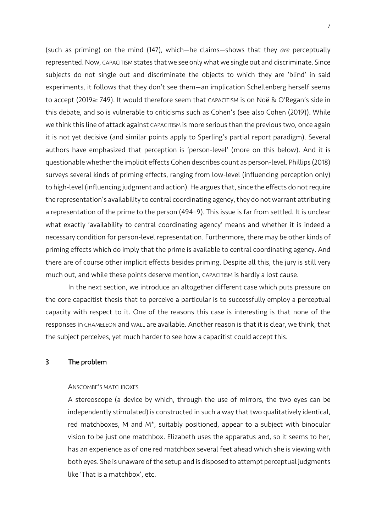(such as priming) on the mind (147), which—he claims—shows that they *are* perceptually represented. Now, CAPACITISM states that we see only what we single out and discriminate. Since subjects do not single out and discriminate the objects to which they are 'blind' in said experiments, it follows that they don't see them—an implication Schellenberg herself seems to accept (2019a: 749). It would therefore seem that CAPACITISM is on Noë & O'Regan's side in this debate, and so is vulnerable to criticisms such as Cohen's (see also Cohen (2019)). While we think this line of attack against CAPACITISM is more serious than the previous two, once again it is not yet decisive (and similar points apply to Sperling's partial report paradigm). Several authors have emphasized that perception is 'person-level' (more on this below). And it is questionable whether the implicit effects Cohen describes count as person-level. Phillips (2018) surveys several kinds of priming effects, ranging from low-level (influencing perception only) to high-level (influencing judgment and action). He argues that, since the effects do not require the representation's availability to central coordinating agency,they do not warrant attributing a representation of the prime to the person (494–9). This issue is far from settled. It is unclear what exactly 'availability to central coordinating agency' means and whether it is indeed a necessary condition for person-level representation. Furthermore, there may be other kinds of priming effects which do imply that the prime is available to central coordinating agency. And there are of course other implicit effects besides priming. Despite all this, the jury is still very much out, and while these points deserve mention, CAPACITISM is hardly a lost cause.

In the next section, we introduce an altogether different case which puts pressure on the core capacitist thesis that to perceive a particular is to successfully employ a perceptual capacity with respect to it. One of the reasons this case is interesting is that none of the responses in CHAMELEON and WALL are available. Another reason is that it is clear, we think, that the subject perceives, yet much harder to see how a capacitist could accept this.

## 3 The problem

#### ANSCOMBE'S MATCHBOXES

A stereoscope (a device by which, through the use of mirrors, the two eyes can be independently stimulated) is constructed in such a way that two qualitatively identical, red matchboxes, M and M\*, suitably positioned, appear to a subject with binocular vision to be just one matchbox. Elizabeth uses the apparatus and, so it seems to her, has an experience as of one red matchbox several feet ahead which she is viewing with both eyes. She is unaware of the setup and is disposed to attempt perceptual judgments like 'That is a matchbox', etc.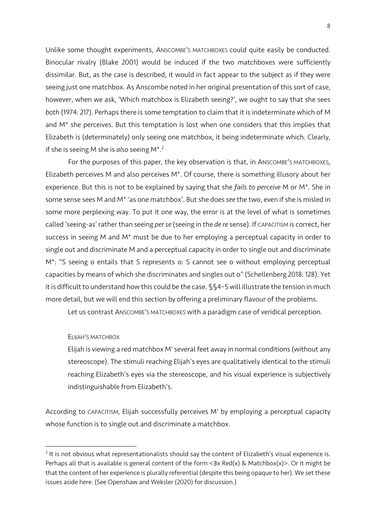Unlike some thought experiments, ANSCOMBE'S MATCHBOXES could quite easily be conducted. Binocular rivalry (Blake 2001) would be induced if the two matchboxes were sufficiently dissimilar. But, as the case is described, it would in fact appear to the subject as if they were seeing just one matchbox. As Anscombe noted in her original presentation of this sort of case, however, when we ask, 'Which matchbox is Elizabeth seeing?', we ought to say that she sees *both* (1974: 217). Perhaps there is some temptation to claim that it is indeterminate which of M and M\* she perceives. But this temptation is lost when one considers that this implies that Elizabeth is (determinately) only seeing one matchbox, it being indeterminate which. Clearly, if she is seeing M she is *also* seeing M\*.2

For the purposes of this paper, the key observation is that, in ANSCOMBE'S MATCHBOXES, Elizabeth perceives M and also perceives M\*. Of course, there is something illusory about her experience. But this is not to be explained by saying that she *fails to perceive* M or M\*. She in some sense sees M and M\* 'as one matchbox'. But she does *see* the two, even if she is misled in some more perplexing way. To put it one way, the error is at the level of what is sometimes called 'seeing-as' rather than seeing *per se* (seeing in the *de re* sense). If CAPACITISM is correct, her success in seeing M and M\* must be due to her employing a perceptual capacity in order to single out and discriminate M and a perceptual capacity in order to single out and discriminate M\*: "S seeing o entails that S represents o: S cannot see o without employing perceptual capacities by means of which she discriminates and singles out o" (Schellenberg 2018: 128). Yet it is difficult to understand how this could be the case. §§4–5 will illustrate the tension in much more detail, but we will end this section by offering a preliminary flavour of the problems.

Let us contrast ANSCOMBE'S MATCHBOXES with a paradigm case of veridical perception.

#### ELIJAH'S MATCHBOX

Elijah is viewing a red matchbox M' several feet away in normal conditions (without any stereoscope). The stimuli reaching Elijah's eyes are qualitatively identical to the stimuli reaching Elizabeth's eyes via the stereoscope, and his visual experience is subjectively indistinguishable from Elizabeth's.

According to CAPACITISM, Elijah successfully perceives M' by employing a perceptual capacity whose function is to single out and discriminate a matchbox.

 $<sup>2</sup>$  It is not obvious what representationalists should say the content of Elizabeth's visual experience is.</sup> Perhaps all that is available is general content of the form <∃x Red(x) & Matchbox(x)>. Or it might be that the content of her experience is plurally referential (despite this being opaque to her). We set these issues aside here. (See Openshaw and Weksler (2020) for discussion.)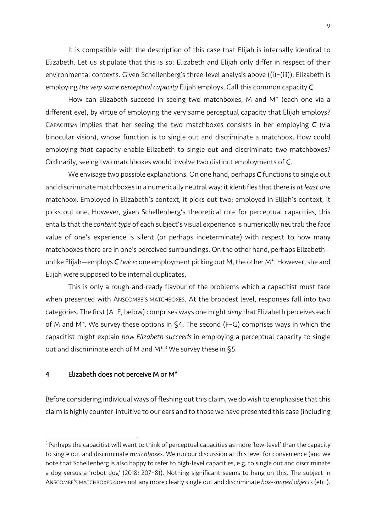It is compatible with the description of this case that Elijah is internally identical to Elizabeth. Let us stipulate that this is so: Elizabeth and Elijah only differ in respect of their environmental contexts. Given Schellenberg's three-level analysis above ((i)–(iii)), Elizabeth is employing *the very same perceptual capacity* Elijah employs. Call this common capacity *C*.

How can Elizabeth succeed in seeing two matchboxes, M and M\* (each one via a different eye), by virtue of employing the very same perceptual capacity that Elijah employs? CAPACITISM implies that her seeing the two matchboxes consists in her employing *C* (via binocular vision), whose function is to single out and discriminate a matchbox. How could employing *that* capacity enable Elizabeth to single out and discriminate *two* matchboxes? Ordinarily, seeing two matchboxes would involve two distinct employments of *C*.

We envisage two possible explanations. On one hand, perhaps *C* functions to single out and discriminate matchboxes in a numerically neutral way: it identifies that there is *at least one* matchbox. Employed in Elizabeth's context, it picks out two; employed in Elijah's context, it picks out one. However, given Schellenberg's theoretical role for perceptual capacities, this entails that the *content type* of each subject's visual experience is numerically neutral: the face value of one's experience is silent (or perhaps indeterminate) with respect to how many matchboxes there are in one's perceived surroundings. On the other hand, perhaps Elizabeth unlike Elijah—employs *C twice*: one employment picking out M, the other M\*. However, she and Elijah were supposed to be internal duplicates.

This is only a rough-and-ready flavour of the problems which a capacitist must face when presented with ANSCOMBE'S MATCHBOXES. At the broadest level, responses fall into two categories. The first(A–E, below) comprises ways one might *deny* that Elizabeth perceives each of M and M\*. We survey these options in §4. The second (F–G) comprises ways in which the capacitist might explain *how Elizabeth succeeds* in employing a perceptual capacity to single out and discriminate each of M and M $^{\ast,3}$  We survey these in §5.

# 4 Elizabeth does not perceive M or M\*

Before considering individual ways of fleshing out this claim, we do wish to emphasise that this claim is highly counter-intuitive to our ears and to those we have presented this case (including

 $3$  Perhaps the capacitist will want to think of perceptual capacities as more 'low-level' than the capacity to single out and discriminate *matchboxes*. We run our discussion at this level for convenience (and we note that Schellenberg is also happy to refer to high-level capacities, e.g. to single out and discriminate a dog versus a 'robot dog' (2018: 207–8)). Nothing significant seems to hang on this. The subject in ANSCOMBE'S MATCHBOXES does not any more clearly single out and discriminate *box-shaped objects*(etc.).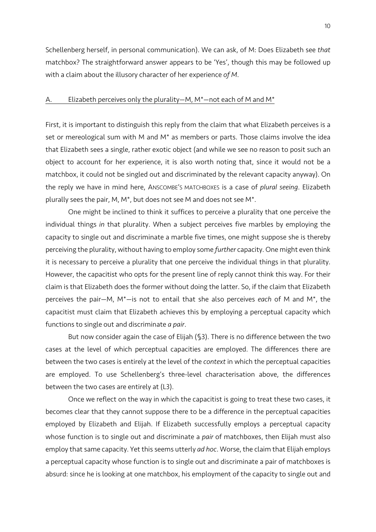Schellenberg herself, in personal communication). We can ask, of M: Does Elizabeth see *that*  matchbox? The straightforward answer appears to be 'Yes', though this may be followed up with a claim about the illusory character of her experience *of M*.

#### A. Elizabeth perceives only the plurality—M, M\*—not each of M and M\*

First, it is important to distinguish this reply from the claim that what Elizabeth perceives is a set or mereological sum with M and M\* as members or parts. Those claims involve the idea that Elizabeth sees a single, rather exotic object (and while we see no reason to posit such an object to account for her experience, it is also worth noting that, since it would not be a matchbox, it could not be singled out and discriminated by the relevant capacity anyway). On the reply we have in mind here, ANSCOMBE'S MATCHBOXES is a case of *plural seeing*. Elizabeth plurally sees the pair, M, M\*, but does not see M and does not see M\*.

One might be inclined to think it suffices to perceive a plurality that one perceive the individual things *in* that plurality. When a subject perceives five marbles by employing the capacity to single out and discriminate a marble five times, one might suppose she is thereby perceiving the plurality, without having to employ some *further* capacity. One might even think it is necessary to perceive a plurality that one perceive the individual things in that plurality. However, the capacitist who opts for the present line of reply cannot think this way. For their claim is that Elizabeth does the former without doing the latter. So, if the claim that Elizabeth perceives the pair—M, M\*—is not to entail that she also perceives *each* of M and M\*, the capacitist must claim that Elizabeth achieves this by employing a perceptual capacity which functions to single out and discriminate *a pair*.

But now consider again the case of Elijah (§3). There is no difference between the two cases at the level of which perceptual capacities are employed. The differences there are between the two cases is entirely at the level of the *context* in which the perceptual capacities are employed. To use Schellenberg's three-level characterisation above, the differences between the two cases are entirely at (L3).

Once we reflect on the way in which the capacitist is going to treat these two cases, it becomes clear that they cannot suppose there to be a difference in the perceptual capacities employed by Elizabeth and Elijah. If Elizabeth successfully employs a perceptual capacity whose function is to single out and discriminate a *pair* of matchboxes, then Elijah must also employ that same capacity. Yet this seems utterly *ad hoc*. Worse, the claim that Elijah employs a perceptual capacity whose function is to single out and discriminate a pair of matchboxes is absurd: since he is looking at one matchbox, his employment of the capacity to single out and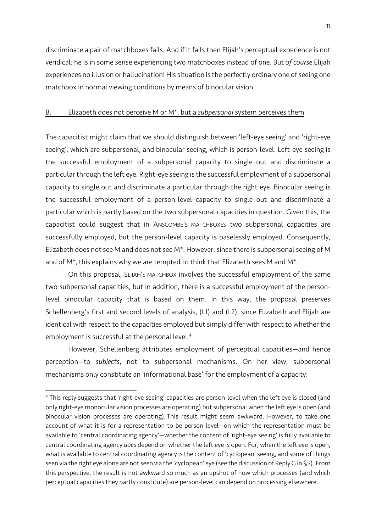discriminate a pair of matchboxes fails. And if it fails then Elijah's perceptual experience is not veridical: he is in some sense experiencing two matchboxes instead of one. But *of course* Elijah experiences no illusion or hallucination! His situation is the perfectly ordinary one of seeing one matchbox in normal viewing conditions by means of binocular vision.

### B. Elizabeth does not perceive M or M\*, but a *subpersonal* system perceives them

The capacitist might claim that we should distinguish between 'left-eye seeing' and 'right-eye seeing', which are subpersonal, and binocular seeing, which is person-level. Left-eye seeing is the successful employment of a subpersonal capacity to single out and discriminate a particular through the left eye. Right-eye seeing is the successful employment of a subpersonal capacity to single out and discriminate a particular through the right eye. Binocular seeing is the successful employment of a person-level capacity to single out and discriminate a particular which is partly based on the two subpersonal capacities in question. Given this, the capacitist could suggest that in ANSCOMBE'S MATCHBOXES two subpersonal capacities are successfully employed, but the person-level capacity is baselessly employed. Consequently, Elizabeth does not see M and does not see  $M^*$ . However, since there is subpersonal seeing of M and of M<sup>\*</sup>, this explains why we are tempted to think that Elizabeth sees M and M<sup>\*</sup>.

On this proposal, ELIJAH'S MATCHBOX involves the successful employment of the same two subpersonal capacities, but in addition, there is a successful employment of the personlevel binocular capacity that is based on them. In this way, the proposal preserves Schellenberg's first and second levels of analysis, (L1) and (L2), since Elizabeth and Elijah are identical with respect to the capacities employed but simply differ with respect to whether the employment is successful at the personal level.<sup>4</sup>

However, Schellenberg attributes employment of perceptual capacities—and hence perception—to *subjects*, not to subpersonal mechanisms. On her view, subpersonal mechanisms only constitute an 'informational base' for the employment of a capacity:

<sup>4</sup> This reply suggests that 'right-eye seeing' capacities are person-level when the left eye is closed (and only right-eye monocular vision processes are operating) but subpersonal when the left eye is open (and binocular vision processes are operating). This result might seem awkward. However, to take one account of what it is for a representation to be person-level—on which the representation must be available to 'central coordinating agency'—whether the content of 'right-eye seeing' is fully available to central coordinating agency *does* depend on whether the left eye is open. For, when the left eye is open, what is available to central coordinating agency is the content of 'cyclopean' seeing, and some of things seen via the right eye alone are not seen via the 'cyclopean' eye (see the discussion of Reply G in §5). From this perspective, the result is not awkward so much as an upshot of how which processes (and which perceptual capacities they partly constitute) are person-level can depend on processing elsewhere.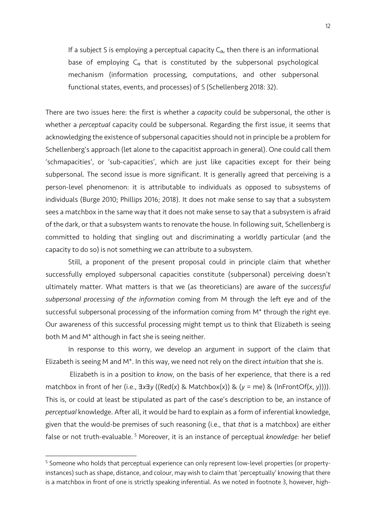If a subject S is employing a perceptual capacity  $C_{\alpha}$ , then there is an informational base of employing  $C_{\alpha}$  that is constituted by the subpersonal psychological mechanism (information processing, computations, and other subpersonal functional states, events, and processes) of S (Schellenberg 2018: 32).

There are two issues here: the first is whether a *capacity* could be subpersonal, the other is whether a *perceptual* capacity could be subpersonal. Regarding the first issue, it seems that acknowledging the existence of subpersonal capacities should not in principle be a problem for Schellenberg's approach (let alone to the capacitist approach in general). One could call them 'schmapacities', or 'sub-capacities', which are just like capacities except for their being subpersonal. The second issue is more significant. It is generally agreed that perceiving is a person-level phenomenon: it is attributable to individuals as opposed to subsystems of individuals (Burge 2010; Phillips 2016; 2018). It does not make sense to say that a subsystem sees a matchbox in the same way that it does not make sense to say that a subsystem is afraid of the dark, or that a subsystem wants to renovate the house. In following suit, Schellenberg is committed to holding that singling out and discriminating a worldly particular (and the capacity to do so) is not something we can attribute to a subsystem.

Still, a proponent of the present proposal could in principle claim that whether successfully employed subpersonal capacities constitute (subpersonal) perceiving doesn't ultimately matter. What matters is that we (as theoreticians) are aware of the *successful subpersonal processing of the information* coming from M through the left eye and of the successful subpersonal processing of the information coming from M\* through the right eye. Our awareness of this successful processing might tempt us to think that Elizabeth is seeing both M and M\* although in fact she is seeing neither.

In response to this worry, we develop an argument in support of the claim that Elizabeth is seeing M and M\*. In this way, we need not rely on the direct *intuition* that she is.

Elizabeth is in a position to *know*, on the basis of her experience, that there is a red matchbox in front of her (i.e., ∃*x*∃*y* ((Red(*x*) & Matchbox(*x*)) & (*y* = me) & (InFrontOf(*x*, *y*)))). This is, or could at least be stipulated as part of the case's description to be, an instance of *perceptual* knowledge. After all, it would be hard to explain as a form of inferential knowledge, given that the would-be premises of such reasoning (i.e., that *that* is a matchbox) are either false or not truth-evaluable. <sup>5</sup> Moreover, it is an instance of perceptual *knowledge:* her belief

<sup>5</sup> Someone who holds that perceptual experience can only represent low-level properties (or propertyinstances) such as shape, distance, and colour, may wish to claim that 'perceptually' knowing that there is a matchbox in front of one is strictly speaking inferential. As we noted in footnote 3, however, high-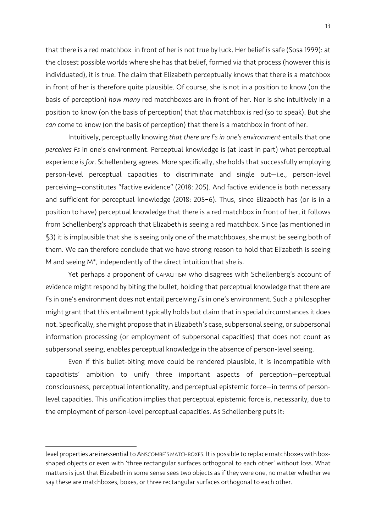that there is a red matchbox in front of her is not true by luck. Her belief is safe (Sosa 1999): at the closest possible worlds where she has that belief, formed via that process (however this is individuated), it is true. The claim that Elizabeth perceptually knows that there is a matchbox in front of her is therefore quite plausible. Of course, she is not in a position to know (on the basis of perception) *how many* red matchboxes are in front of her. Nor is she intuitively in a position to know (on the basis of perception) that *that* matchbox is red (so to speak). But she *can* come to know (on the basis of perception) that there is a matchbox in front of her.

Intuitively, perceptually knowing *that there are Fs in one's environment* entails that one *perceives Fs* in one's environment. Perceptual knowledge is (at least in part) what perceptual experience *is for*. Schellenberg agrees. More specifically, she holds that successfully employing person-level perceptual capacities to discriminate and single out—i.e., person-level perceiving—constitutes "factive evidence" (2018: 205). And factive evidence is both necessary and sufficient for perceptual knowledge (2018: 205–6). Thus, since Elizabeth has (or is in a position to have) perceptual knowledge that there is a red matchbox in front of her, it follows from Schellenberg's approach that Elizabeth is seeing a red matchbox. Since (as mentioned in §3) it is implausible that she is seeing only one of the matchboxes, she must be seeing both of them. We can therefore conclude that we have strong reason to hold that Elizabeth is seeing M and seeing M\*, independently of the direct intuition that she is.

Yet perhaps a proponent of CAPACITISM who disagrees with Schellenberg's account of evidence might respond by biting the bullet, holding that perceptual knowledge that there are *F*s in one's environment does not entail perceiving *F*s in one's environment. Such a philosopher might grant that this entailment typically holds but claim that in special circumstances it does not. Specifically, she might propose that in Elizabeth's case, subpersonal seeing, or subpersonal information processing (or employment of subpersonal capacities) that does not count as subpersonal seeing, enables perceptual knowledge in the absence of person-level seeing.

Even if this bullet-biting move could be rendered plausible, it is incompatible with capacitists' ambition to unify three important aspects of perception—perceptual consciousness, perceptual intentionality, and perceptual epistemic force—in terms of personlevel capacities. This unification implies that perceptual epistemic force is, necessarily, due to the employment of person-level perceptual capacities. As Schellenberg puts it:

level properties are inessential to ANSCOMBE'S MATCHBOXES. It is possible to replace matchboxes with boxshaped objects or even with 'three rectangular surfaces orthogonal to each other' without loss. What matters is just that Elizabeth in some sense sees two objects as if they were one, no matter whether we say these are matchboxes, boxes, or three rectangular surfaces orthogonal to each other.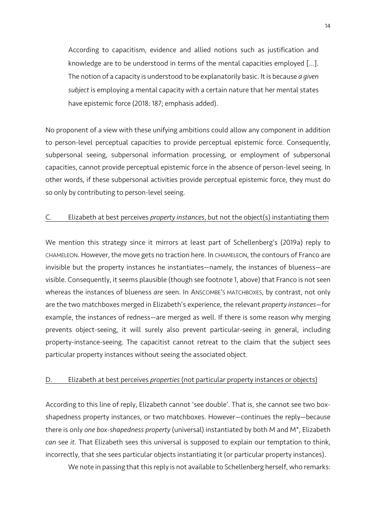According to capacitism, evidence and allied notions such as justification and knowledge are to be understood in terms of the mental capacities employed […]. The notion of a capacity is understood to be explanatorily basic. It is because *a given subject* is employing a mental capacity with a certain nature that her mental states have epistemic force (2018: 187; emphasis added).

No proponent of a view with these unifying ambitions could allow any component in addition to person-level perceptual capacities to provide perceptual epistemic force. Consequently, subpersonal seeing, subpersonal information processing, or employment of subpersonal capacities, cannot provide perceptual epistemic force in the absence of person-level seeing. In other words, if these subpersonal activities provide perceptual epistemic force, they must do so only by contributing to person-level seeing.

# C. Elizabeth at best perceives *property instances*, but not the object(s) instantiating them

We mention this strategy since it mirrors at least part of Schellenberg's (2019a) reply to CHAMELEON. However, the move gets no traction here. In CHAMELEON, the contours of Franco are invisible but the property instances he instantiates—namely, the instances of blueness—are visible. Consequently, it seems plausible (though see footnote 1, above) that Franco is not seen whereas the instances of blueness *are* seen. In ANSCOMBE'S MATCHBOXES, by contrast, not only are the two matchboxes merged in Elizabeth's experience, the relevant *property instances*—for example, the instances of redness—are merged as well. If there is some reason why merging prevents object-seeing, it will surely also prevent particular-seeing in general, including property-instance-seeing. The capacitist cannot retreat to the claim that the subject sees particular property instances without seeing the associated object.

## D. Elizabeth at best perceives *properties* (not particular property instances or objects)

According to this line of reply, Elizabeth cannot 'see double'. That is, she cannot see two boxshapedness property instances, or two matchboxes. However—continues the reply—because there is only *one box-shapedness property* (universal) instantiated by both M and M\*, Elizabeth *can* see *it*. That Elizabeth sees this universal is supposed to explain our temptation to think, incorrectly, that she sees particular objects instantiating it (or particular property instances).

We note in passing that this reply is not available to Schellenberg herself, who remarks: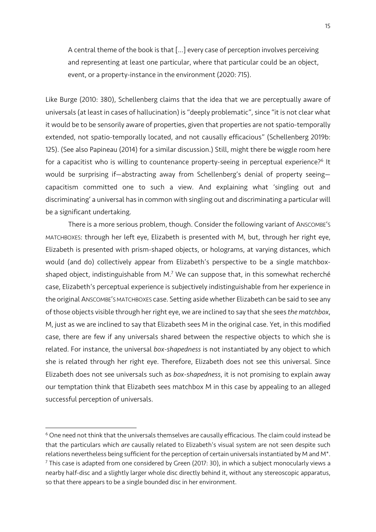A central theme of the book is that […] every case of perception involves perceiving and representing at least one particular, where that particular could be an object, event, or a property-instance in the environment (2020: 715).

Like Burge (2010: 380), Schellenberg claims that the idea that we are perceptually aware of universals (at least in cases of hallucination) is "deeply problematic", since "it is not clear what it would be to be sensorily aware of properties, given that properties are not spatio-temporally extended, not spatio-temporally located, and not causally efficacious" (Schellenberg 2019b: 125). (See also Papineau (2014) for a similar discussion.) Still, might there be wiggle room here for a capacitist who is willing to countenance property-seeing in perceptual experience?<sup>6</sup> It would be surprising if—abstracting away from Schellenberg's denial of property seeing capacitism committed one to such a view. And explaining what 'singling out and discriminating' a universal has in common with singling out and discriminating a particular will be a significant undertaking.

There is a more serious problem, though. Consider the following variant of ANSCOMBE'S MATCHBOXES: through her left eye, Elizabeth is presented with M, but, through her right eye, Elizabeth is presented with prism-shaped objects, or holograms, at varying distances, which would (and do) collectively appear from Elizabeth's perspective to be a single matchboxshaped object, indistinguishable from  $M<sup>7</sup>$  We can suppose that, in this somewhat recherché case, Elizabeth's perceptual experience is subjectively indistinguishable from her experience in the original ANSCOMBE'S MATCHBOXES case. Setting aside whether Elizabeth can be said to see any of those objects visible through her right eye, we are inclined to say that she sees *the matchbox*, M, just as we are inclined to say that Elizabeth sees M in the original case. Yet, in this modified case, there are few if any universals shared between the respective objects to which she is related. For instance, the universal *box-shapedness* is not instantiated by any object to which she is related through her right eye. Therefore, Elizabeth does not see this universal. Since Elizabeth does not see universals such as *box-shapedness*, it is not promising to explain away our temptation think that Elizabeth sees matchbox M in this case by appealing to an alleged successful perception of universals.

 $6$  One need not think that the universals themselves are causally efficacious. The claim could instead be that the particulars which *are* causally related to Elizabeth's visual system are not seen despite such relations nevertheless being sufficient for the perception of certain universals instantiated by M and M\*.  $<sup>7</sup>$  This case is adapted from one considered by Green (2017: 30), in which a subject monocularly views a</sup> nearby half-disc and a slightly larger whole disc directly behind it, without any stereoscopic apparatus, so that there appears to be a single bounded disc in her environment.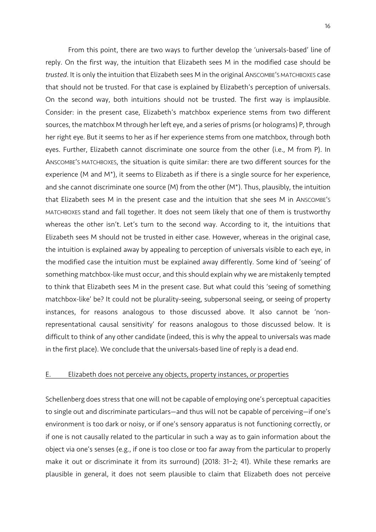From this point, there are two ways to further develop the 'universals-based' line of reply. On the first way, the intuition that Elizabeth sees M in the modified case should be *trusted*. It is only the intuition that Elizabeth sees M in the original ANSCOMBE'S MATCHBOXES case that should not be trusted. For that case is explained by Elizabeth's perception of universals. On the second way, both intuitions should not be trusted. The first way is implausible. Consider: in the present case, Elizabeth's matchbox experience stems from two different sources, the matchbox M through her left eye, and a series of prisms (or holograms) P, through her right eye. But it seems to her as if her experience stems from one matchbox, through both eyes. Further, Elizabeth cannot discriminate one source from the other (i.e., M from P). In ANSCOMBE'S MATCHBOXES, the situation is quite similar: there are two different sources for the experience (M and M\*), it seems to Elizabeth as if there is a single source for her experience, and she cannot discriminate one source (M) from the other (M\*). Thus, plausibly, the intuition that Elizabeth sees M in the present case and the intuition that she sees M in ANSCOMBE'S MATCHBOXES stand and fall together. It does not seem likely that one of them is trustworthy whereas the other isn't. Let's turn to the second way. According to it, the intuitions that Elizabeth sees M should not be trusted in either case. However, whereas in the original case, the intuition is explained away by appealing to perception of universals visible to each eye, in the modified case the intuition must be explained away differently. Some kind of 'seeing' of something matchbox-like must occur, and this should explain why we are mistakenly tempted to think that Elizabeth sees M in the present case. But what could this 'seeing of something matchbox-like' be? It could not be plurality-seeing, subpersonal seeing, or seeing of property instances, for reasons analogous to those discussed above. It also cannot be 'nonrepresentational causal sensitivity' for reasons analogous to those discussed below. It is difficult to think of any other candidate (indeed, this is why the appeal to universals was made in the first place). We conclude that the universals-based line of reply is a dead end.

#### E. Elizabeth does not perceive any objects, property instances, *or* properties

Schellenberg does stress that one will not be capable of employing one's perceptual capacities to single out and discriminate particulars—and thus will not be capable of perceiving—if one's environment is too dark or noisy, or if one's sensory apparatus is not functioning correctly, or if one is not causally related to the particular in such a way as to gain information about the object via one's senses (e.g., if one is too close or too far away from the particular to properly make it out or discriminate it from its surround) (2018: 31–2; 41). While these remarks are plausible in general, it does not seem plausible to claim that Elizabeth does not perceive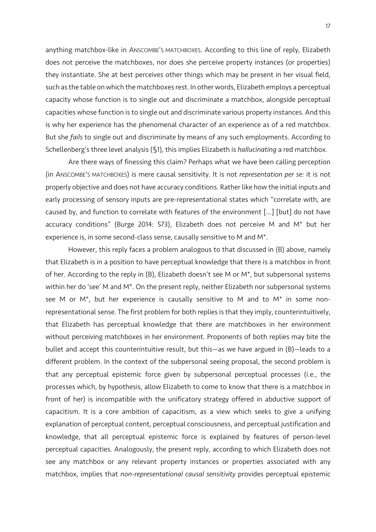anything matchbox-like in ANSCOMBE'S MATCHBOXES. According to this line of reply, Elizabeth does not perceive the matchboxes, nor does she perceive property instances (or properties) they instantiate. She at best perceives other things which may be present in her visual field, such as the table on which the matchboxes rest. In other words, Elizabeth employs a perceptual capacity whose function is to single out and discriminate a matchbox, alongside perceptual capacities whose function is to single out and discriminate various property instances. And this is why her experience has the phenomenal character of an experience as of a red matchbox. But she *fails* to single out and discriminate by means of any such employments. According to Schellenberg's three level analysis (§1), this implies Elizabeth is *hallucinating* a red matchbox.

Are there ways of finessing this claim? Perhaps what we have been calling perception (in ANSCOMBE'S MATCHBOXES) is mere causal sensitivity. It is not *representation per se:* it is not properly objective and does not have accuracy conditions. Rather like how the initial inputs and early processing of sensory inputs are pre-representational states which "correlate with, are caused by, and function to correlate with features of the environment […] [but] do not have accuracy conditions" (Burge 2014: 573), Elizabeth does not perceive M and M\* but her experience is, in some second-class sense, causally sensitive to M and M\*.

However, this reply faces a problem analogous to that discussed in (B) above, namely that Elizabeth is in a position to have perceptual knowledge that there is a matchbox in front of her. According to the reply in (B), Elizabeth doesn't see M or M\*, but subpersonal systems within her do 'see' M and M\*. On the present reply, neither Elizabeth nor subpersonal systems see M or M\*, but her experience is causally sensitive to M and to M\* in some nonrepresentational sense. The first problem for both replies is that they imply, counterintuitively, that Elizabeth has perceptual knowledge that there are matchboxes in her environment without perceiving matchboxes in her environment. Proponents of both replies may bite the bullet and accept this counterintuitive result, but this—as we have argued in (B)—leads to a different problem. In the context of the subpersonal seeing proposal, the second problem is that any perceptual epistemic force given by subpersonal perceptual processes (i.e., the processes which, by hypothesis, allow Elizabeth to come to know that there is a matchbox in front of her) is incompatible with the unificatory strategy offered in abductive support of capacitism. It is a core ambition of capacitism, as a view which seeks to give a unifying explanation of perceptual content, perceptual consciousness, and perceptual justification and knowledge, that all perceptual epistemic force is explained by features of person-level perceptual capacities. Analogously, the present reply, according to which Elizabeth does not see any matchbox or any relevant property instances or properties associated with any matchbox, implies that *non-representational causal sensitivity* provides perceptual epistemic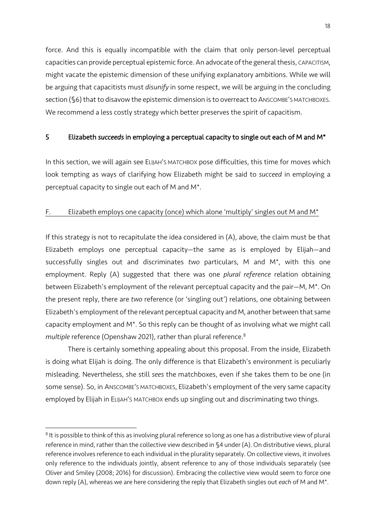force. And this is equally incompatible with the claim that only person-level perceptual capacities can provide perceptual epistemic force. An advocate of the general thesis, CAPACITISM, might vacate the epistemic dimension of these unifying explanatory ambitions. While we will be arguing that capacitists must *disunify* in some respect, we will be arguing in the concluding section (§6) that to disavow the epistemic dimension is to overreact to ANSCOMBE'S MATCHBOXES. We recommend a less costly strategy which better preserves the spirit of capacitism.

# 5 Elizabeth *succeeds* in employing a perceptual capacity to single out each of M and M\*

In this section, we will again see ELIJAH'S MATCHBOX pose difficulties, this time for moves which look tempting as ways of clarifying how Elizabeth might be said to *succeed* in employing a perceptual capacity to single out each of M and M\*.

# F. Elizabeth employs one capacity (once) which alone 'multiply' singles out M and M\*

If this strategy is not to recapitulate the idea considered in (A), above, the claim must be that Elizabeth employs one perceptual capacity—the same as is employed by Elijah—and successfully singles out and discriminates *two* particulars, M and M\*, with this one employment. Reply (A) suggested that there was one *plural reference* relation obtaining between Elizabeth's employment of the relevant perceptual capacity and the pair—M, M\*. On the present reply, there are *two* reference (or 'singling out') relations, one obtaining between Elizabeth's employment of the relevant perceptual capacity and M, another between that same capacity employment and M\*. So this reply can be thought of as involving what we might call *multiple* reference (Openshaw 2021), rather than plural reference.<sup>8</sup>

There is certainly something appealing about this proposal. From the inside, Elizabeth is doing what Elijah is doing. The only difference is that Elizabeth's environment is peculiarly misleading. Nevertheless, she still *sees* the matchboxes, even if she takes them to be one (in some sense). So, in ANSCOMBE'S MATCHBOXES, Elizabeth's employment of the very same capacity employed by Elijah in ELIJAH'S MATCHBOX ends up singling out and discriminating two things.

<sup>&</sup>lt;sup>8</sup> It is possible to think of this as involving plural reference so long as one has a distributive view of plural reference in mind, rather than the collective view described in §4 under (A). On distributive views, plural reference involves reference to each individual in the plurality separately. On collective views, it involves only reference to the individuals jointly, absent reference to any of those individuals separately (see Oliver and Smiley (2008; 2016) for discussion). Embracing the collective view would seem to force one down reply (A), whereas we are here considering the reply that Elizabeth singles out *each* of M and M\*.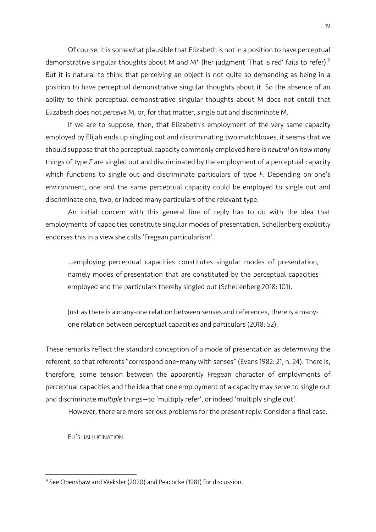Of course, it is somewhat plausible that Elizabeth is not in a position to have perceptual demonstrative singular thoughts about M and M\* (her judgment 'That is red' fails to refer). 9 But it is natural to think that perceiving an object is not quite so demanding as being in a position to have perceptual demonstrative singular thoughts about it. So the absence of an ability to think perceptual demonstrative singular thoughts about M does not entail that Elizabeth does not *perceive* M, or, for that matter, single out and discriminate M.

If we are to suppose, then, that Elizabeth's employment of the very same capacity employed by Elijah ends up singling out and discriminating two matchboxes, it seems that we should suppose that the perceptual capacity commonly employed here is *neutral* on *how many*  things of type *F* are singled out and discriminated by the employment of a perceptual capacity which functions to single out and discriminate particulars of type *F*. Depending on one's environment, one and the same perceptual capacity could be employed to single out and discriminate one, two, or indeed many particulars of the relevant type.

An initial concern with this general line of reply has to do with the idea that employments of capacities constitute singular modes of presentation. Schellenberg explicitly endorses this in a view she calls 'Fregean particularism'.

…employing perceptual capacities constitutes singular modes of presentation, namely modes of presentation that are constituted by the perceptual capacities employed and the particulars thereby singled out (Schellenberg 2018: 101).

Just as there is a many-one relation between senses and references, there is a manyone relation between perceptual capacities and particulars (2018: 52).

These remarks reflect the standard conception of a mode of presentation as *determining* the referent, so that referents "correspond one–many with senses" (Evans 1982: 21, n. 24). There is, therefore, some tension between the apparently Fregean character of employments of perceptual capacities and the idea that one employment of a capacity may serve to single out and discriminate *multiple* things—to 'multiply refer', or indeed 'multiply single out'.

However, there are more serious problems for the present reply.Consider a final case.

ELI'S HALLUCINATION

<sup>9</sup> See Openshaw and Weksler (2020) and Peacocke (1981) for discussion.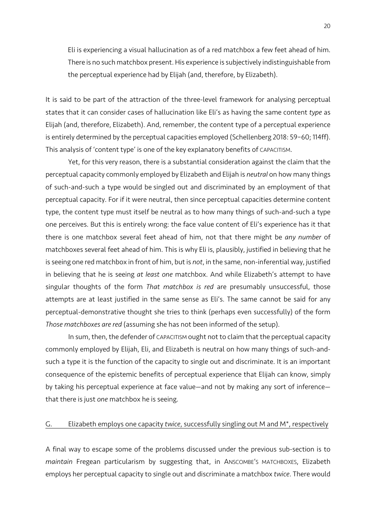Eli is experiencing a visual hallucination as of a red matchbox a few feet ahead of him. There is no such matchbox present. His experience is subjectively indistinguishable from the perceptual experience had by Elijah (and, therefore, by Elizabeth).

It is said to be part of the attraction of the three-level framework for analysing perceptual states that it can consider cases of hallucination like Eli's as having the same content *type* as Elijah (and, therefore, Elizabeth). And, remember, the content type of a perceptual experience is entirely determined by the perceptual capacities employed (Schellenberg 2018: 59–60; 114ff). This analysis of 'content type' is one of the key explanatory benefits of CAPACITISM.

Yet, for this very reason, there is a substantial consideration against the claim that the perceptual capacity commonly employed by Elizabeth and Elijah is *neutral* on how many things of such-and-such a type would be singled out and discriminated by an employment of that perceptual capacity. For if it were neutral, then since perceptual capacities determine content type, the content type must itself be neutral as to how many things of such-and-such a type one perceives. But this is entirely wrong: the face value content of Eli's experience has it that there is one matchbox several feet ahead of him, not that there might be *any number* of matchboxes several feet ahead of him. This is why Eli is, plausibly, justified in believing that he is seeing one red matchbox in front of him, but is *not*, in the same, non-inferential way, justified in believing that he is seeing *at least one* matchbox. And while Elizabeth's attempt to have singular thoughts of the form *That matchbox is red* are presumably unsuccessful, those attempts are at least justified in the same sense as Eli's. The same cannot be said for any perceptual-demonstrative thought she tries to think (perhaps even successfully) of the form *Those matchboxes are red* (assuming she has not been informed of the setup).

In sum, then, the defender of CAPACITISM ought not to claim that the perceptual capacity commonly employed by Elijah, Eli, and Elizabeth is neutral on how many things of such-andsuch a type it is the function of the capacity to single out and discriminate. It is an important consequence of the epistemic benefits of perceptual experience that Elijah can know, simply by taking his perceptual experience at face value—and not by making any sort of inference that there is just *one* matchbox he is seeing.

#### G. Elizabeth employs one capacity *twice*, successfully singling out M and M\*, respectively

A final way to escape some of the problems discussed under the previous sub-section is to *maintain* Fregean particularism by suggesting that, in ANSCOMBE'S MATCHBOXES, Elizabeth employs her perceptual capacity to single out and discriminate a matchbox *twice*. There would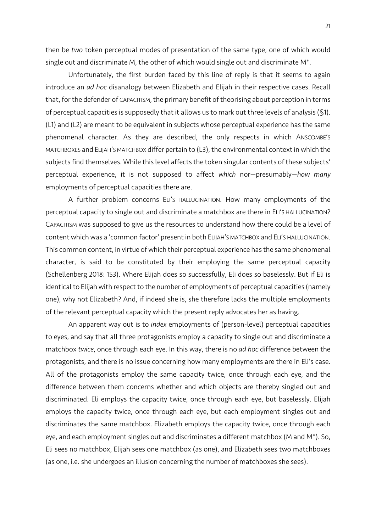then be *two* token perceptual modes of presentation of the same type, one of which would single out and discriminate M, the other of which would single out and discriminate M\*.

Unfortunately, the first burden faced by this line of reply is that it seems to again introduce an *ad hoc* disanalogy between Elizabeth and Elijah in their respective cases. Recall that, for the defender of CAPACITISM, the primary benefit of theorising about perception in terms of perceptual capacities is supposedly that it allows us to mark out three levels of analysis (§1). (L1) and (L2) are meant to be equivalent in subjects whose perceptual experience has the same phenomenal character. As they are described, the only respects in which ANSCOMBE'S MATCHBOXES and ELIJAH'S MATCHBOX differ pertain to (L3), the environmental context in which the subjects find themselves. While this level affects the token singular contents of these subjects' perceptual experience, it is not supposed to affect *which* nor—presumably—*how many*  employments of perceptual capacities there are.

A further problem concerns ELI'S HALLUCINATION. How many employments of the perceptual capacity to single out and discriminate a matchbox are there in ELI'S HALLUCINATION? CAPACITISM was supposed to give us the resources to understand how there could be a level of content which was a 'common factor' present in both ELIJAH'S MATCHBOX and ELI'S HALLUCINATION. This common content, in virtue of which their perceptual experience has the same phenomenal character, is said to be constituted by their employing the same perceptual capacity (Schellenberg 2018: 153). Where Elijah does so successfully, Eli does so baselessly. But if Eli is identical to Elijah with respect to the number of employments of perceptual capacities (namely one), why not Elizabeth? And, if indeed she is, she therefore lacks the multiple employments of the relevant perceptual capacity which the present reply advocates her as having.

An apparent way out is to *index* employments of (person-level) perceptual capacities to eyes, and say that all three protagonists employ a capacity to single out and discriminate a matchbox *twice*, once through each eye. In this way, there is no *ad hoc* difference between the protagonists, and there is no issue concerning how many employments are there in Eli's case. All of the protagonists employ the same capacity twice, once through each eye, and the difference between them concerns whether and which objects are thereby singled out and discriminated. Eli employs the capacity twice, once through each eye, but baselessly. Elijah employs the capacity twice, once through each eye, but each employment singles out and discriminates the same matchbox. Elizabeth employs the capacity twice, once through each eye, and each employment singles out and discriminates a different matchbox (M and M\*). So, Eli sees no matchbox, Elijah sees one matchbox (as one), and Elizabeth sees two matchboxes (as one, i.e. she undergoes an illusion concerning the number of matchboxes she sees).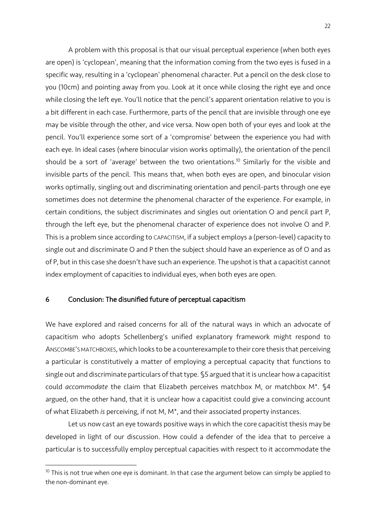A problem with this proposal is that our visual perceptual experience (when both eyes are open) is 'cyclopean', meaning that the information coming from the two eyes is fused in a specific way, resulting in a 'cyclopean' phenomenal character. Put a pencil on the desk close to you (10cm) and pointing away from you. Look at it once while closing the right eye and once while closing the left eye. You'll notice that the pencil's apparent orientation relative to you is a bit different in each case. Furthermore, parts of the pencil that are invisible through one eye may be visible through the other, and vice versa. Now open both of your eyes and look at the pencil. You'll experience some sort of a 'compromise' between the experience you had with each eye. In ideal cases (where binocular vision works optimally), the orientation of the pencil should be a sort of 'average' between the two orientations. <sup>10</sup> Similarly for the visible and invisible parts of the pencil. This means that, when both eyes are open, and binocular vision works optimally, singling out and discriminating orientation and pencil-parts through one eye sometimes does not determine the phenomenal character of the experience. For example, in certain conditions, the subject discriminates and singles out orientation O and pencil part P, through the left eye, but the phenomenal character of experience does not involve O and P. This is a problem since according to CAPACITISM, if a subject employs a (person-level) capacity to single out and discriminate O and P then the subject should have an experience as of O and as of P, but in this case she doesn't have such an experience. The upshot is that a capacitist cannot index employment of capacities to individual eyes, when both eyes are open.

# 6 Conclusion: The disunified future of perceptual capacitism

We have explored and raised concerns for all of the natural ways in which an advocate of capacitism who adopts Schellenberg's unified explanatory framework might respond to ANSCOMBE'S MATCHBOXES, which looks to be a counterexample to their core thesis that perceiving a particular is constitutively a matter of employing a perceptual capacity that functions to single out and discriminate particulars of that type. §5 argued that it is unclear how a capacitist could *accommodate* the claim that Elizabeth perceives matchbox M, or matchbox M\*. §4 argued, on the other hand, that it is unclear how a capacitist could give a convincing account of what Elizabeth *is* perceiving, if not M, M\*, and their associated property instances.

Let us now cast an eye towards positive ways in which the core capacitist thesis may be developed in light of our discussion. How could a defender of the idea that to perceive a particular is to successfully employ perceptual capacities with respect to it accommodate the

 $10$  This is not true when one eye is dominant. In that case the argument below can simply be applied to the non-dominant eye.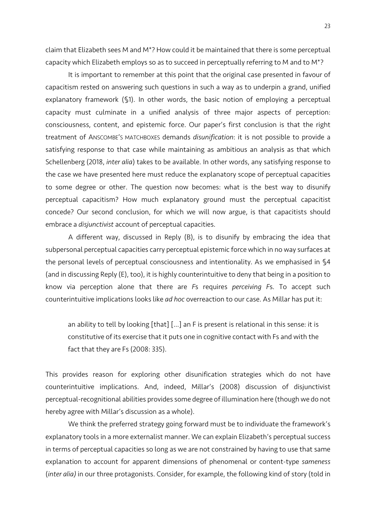claim that Elizabeth sees M and M\*? How could it be maintained that there is some perceptual capacity which Elizabeth employs so as to succeed in perceptually referring to M and to  $M^*$ ?

It is important to remember at this point that the original case presented in favour of capacitism rested on answering such questions in such a way as to underpin a grand, unified explanatory framework (§1). In other words, the basic notion of employing a perceptual capacity must culminate in a unified analysis of three major aspects of perception: consciousness, content, and epistemic force. Our paper's first conclusion is that the right treatment of ANSCOMBE'S MATCHBOXES demands *disunification*: it is not possible to provide a satisfying response to that case while maintaining as ambitious an analysis as that which Schellenberg (2018, *inter alia*) takes to be available. In other words, any satisfying response to the case we have presented here must reduce the explanatory scope of perceptual capacities to some degree or other. The question now becomes: what is the best way to disunify perceptual capacitism? How much explanatory ground must the perceptual capacitist concede? Our second conclusion, for which we will now argue, is that capacitists should embrace a *disjunctivist* account of perceptual capacities.

A different way, discussed in Reply (B), is to disunify by embracing the idea that subpersonal perceptual capacities carry perceptual epistemic force which in no way surfaces at the personal levels of perceptual consciousness and intentionality. As we emphasised in §4 (and in discussing Reply (E), too), it is highly counterintuitive to deny that being in a position to know via perception alone that there are *F*s requires *perceiving F*s. To accept such counterintuitive implications looks like *ad hoc* overreaction to our case. As Millar has put it:

an ability to tell by looking [that] […] an F is present is relational in this sense: it is constitutive of its exercise that it puts one in cognitive contact with Fs and with the fact that they are Fs (2008: 335).

This provides reason for exploring other disunification strategies which do not have counterintuitive implications. And, indeed, Millar's (2008) discussion of disjunctivist perceptual-recognitional abilities provides some degree of illumination here (though we do not hereby agree with Millar's discussion as a whole).

We think the preferred strategy going forward must be to individuate the framework's explanatory tools in a more externalist manner. We can explain Elizabeth's perceptual success in terms of perceptual capacities so long as we are not constrained by having to use that same explanation to account for apparent dimensions of phenomenal or content-type *sameness* (*inter alia)* in our three protagonists. Consider, for example, the following kind of story (told in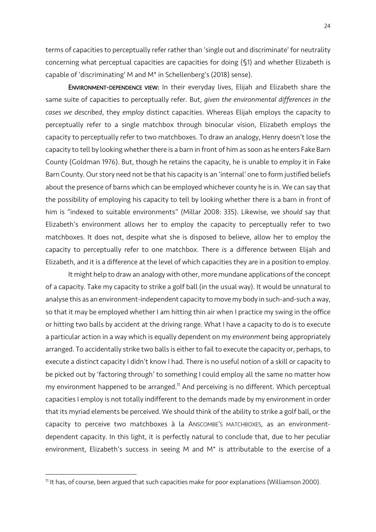terms of capacities to perceptually refer rather than 'single out and discriminate' for neutrality concerning what perceptual capacities are capacities for doing (§1) and whether Elizabeth is capable of 'discriminating' M and M\* in Schellenberg's (2018) sense).

ENVIRONMENT-DEPENDENCE VIEW: In their everyday lives, Elijah and Elizabeth share the same suite of capacities to perceptually refer. But, *given the environmental differences in the cases we described*, they *employ* distinct capacities. Whereas Elijah employs the capacity to perceptually refer to a single matchbox through binocular vision, Elizabeth employs the capacity to perceptually refer to two matchboxes. To draw an analogy, Henry doesn't lose the capacity to tell by looking whether there is a barn in front of him as soon as he enters Fake Barn County (Goldman 1976). But, though he retains the capacity, he is unable to *employ* it in Fake Barn County. Our story need not be that his capacity is an 'internal' one to form justified beliefs about the presence of barns which can be employed whichever county he is in. We can say that the possibility of employing his capacity to tell by looking whether there is a barn in front of him is "indexed to suitable environments" (Millar 2008: 335). Likewise, we *should* say that Elizabeth's environment allows her to employ the capacity to perceptually refer to two matchboxes. It does not, despite what she is disposed to believe, allow her to employ the capacity to perceptually refer to one matchbox. There is a difference between Elijah and Elizabeth, and it is a difference at the level of which capacities they are in a position to employ.

It might help to draw an analogy with other, more mundane applications of the concept of a capacity. Take my capacity to strike a golf ball (in the usual way). It would be unnatural to analyse this as an environment-independent capacity to move my body in such-and-such a way, so that it may be employed whether I am hitting thin air when I practice my swing in the office or hitting two balls by accident at the driving range. What I have a capacity to do is to execute a particular action in a way which is equally dependent on my *environment* being appropriately arranged. To accidentally strike two balls is either to fail to execute the capacity or, perhaps, to execute a distinct capacity I didn't know I had. There is no useful notion of a skill or capacity to be picked out by 'factoring through' to something I could employ all the same no matter how my environment happened to be arranged.<sup>11</sup> And perceiving is no different. Which perceptual capacities I employ is not totally indifferent to the demands made by my environment in order that its myriad elements be perceived. We should think of the ability to strike a golf ball, or the capacity to perceive two matchboxes à la ANSCOMBE'S MATCHBOXES, as an environmentdependent capacity. In this light, it is perfectly natural to conclude that, due to her peculiar environment, Elizabeth's success in seeing M and  $M^*$  is attributable to the exercise of a

 $11$  It has, of course, been argued that such capacities make for poor explanations (Williamson 2000).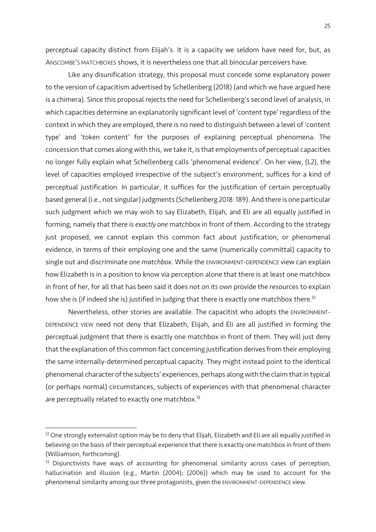perceptual capacity distinct from Elijah's. It is a capacity we seldom have need for, but, as ANSCOMBE'S MATCHBOXES shows, it is nevertheless one that all binocular perceivers have.

Like any disunification strategy, this proposal must concede some explanatory power to the version of capacitism advertised by Schellenberg (2018) (and which we have argued here is a chimera). Since this proposal rejects the need for Schellenberg's second level of analysis, in which capacities determine an explanatorily significant level of 'content type' regardless of the context in which they are employed, there is no need to distinguish between a level of 'content type' and 'token content' for the purposes of explaining perceptual phenomena. The concession that comes along with this, we take it, is that employments of perceptual capacities no longer fully explain what Schellenberg calls 'phenomenal evidence'. On her view, (L2), the level of capacities employed irrespective of the subject's environment, suffices for a kind of perceptual justification. In particular, it suffices for the justification of certain perceptually based general (i.e., not singular) judgments (Schellenberg 2018: 189). And there is one particular such judgment which we may wish to say Elizabeth, Elijah, and Eli are all equally justified in forming, namely that there is *exactly one* matchbox in front of them. According to the strategy just proposed, we cannot explain this common fact about justification, or phenomenal evidence, in terms of their employing one and the same (numerically committal) capacity to single out and discriminate *one matchbox*. While the ENVIRONMENT-DEPENDENCE view can explain how Elizabeth is in a position to know via perception alone that there is at least one matchbox in front of her, for all that has been said it does not *on its own* provide the resources to explain how she is (if indeed she is) justified in judging that there is exactly one matchbox there.<sup>12</sup>

Nevertheless, other stories are available. The capacitist who adopts the ENVIRONMENT-DEPENDENCE VIEW need not deny that Elizabeth, Elijah, and Eli are all justified in forming the perceptual judgment that there is exactly one matchbox in front of them. They will just deny that the explanation of this common fact concerning justification derives from their employing the same internally-determined perceptual capacity. They might instead point to the identical phenomenal character of the subjects' experiences, perhaps along with the claim that in typical (or perhaps normal) circumstances, subjects of experiences with that phenomenal character are perceptually related to exactly one matchbox.<sup>13</sup>

<sup>12</sup> One strongly externalist option may be to deny that Elijah, Elizabeth and Eli *are* all equally justified in believing on the basis of their perceptual experience that there is exactly one matchbox in front of them (Williamson, forthcoming).

<sup>&</sup>lt;sup>13</sup> Disjunctivists have ways of accounting for phenomenal similarity across cases of perception, hallucination and illusion (e.g., Martin (2004); (2006)) which may be used to account for the phenomenal similarity among our three protagonists, given the ENVIRONMENT-DEPENDENCE view.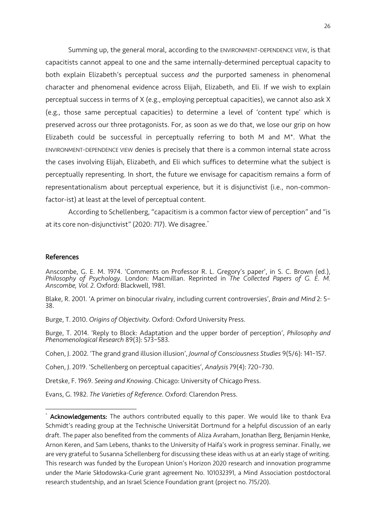Summing up, the general moral, according to the ENVIRONMENT-DEPENDENCE VIEW, is that capacitists cannot appeal to one and the same internally-determined perceptual capacity to both explain Elizabeth's perceptual success *and* the purported sameness in phenomenal character and phenomenal evidence across Elijah, Elizabeth, and Eli. If we wish to explain perceptual success in terms of X (e.g., employing perceptual capacities), we cannot also ask X (e.g., those same perceptual capacities) to determine a level of 'content type' which is preserved across our three protagonists. For, as soon as we do that, we lose our grip on how Elizabeth could be successful in perceptually referring to both M and M\*. What the ENVIRONMENT-DEPENDENCE VIEW denies is precisely that there is a common internal state across the cases involving Elijah, Elizabeth, and Eli which suffices to determine what the subject is perceptually representing. In short, the future we envisage for capacitism remains a form of representationalism about perceptual experience, but it is disjunctivist (i.e., non-commonfactor-ist) at least at the level of perceptual content.

According to Schellenberg, "capacitism is a common factor view of perception" and "is at its core non-disjunctivist" (2020: 717). We disagree.\*

#### References

Anscombe, G. E. M. 1974. 'Comments on Professor R. L. Gregory's paper', in S. C. Brown (ed.), *Philosophy of Psychology*. London: Macmillan. Reprinted in *The Collected Papers of G. E. M. Anscombe, Vol. 2.* Oxford: Blackwell, 1981.

Blake, R. 2001. 'A primer on binocular rivalry, including current controversies', *Brain and Mind* 2: 5– 38.

Burge, T. 2010. *Origins of Objectivity*. Oxford: Oxford University Press.

Burge, T. 2014. 'Reply to Block: Adaptation and the upper border of perception', *Philosophy and Phenomenological Research* 89(3): 573–583.

Cohen, J. 2002. 'The grand grand illusion illusion', *Journal of Consciousness Studies* 9(5/6): 141–157.

Cohen, J. 2019. 'Schellenberg on perceptual capacities', *Analysis* 79(4): 720–730.

Dretske, F. 1969. *Seeing and Knowing*. Chicago: University of Chicago Press.

Evans, G. 1982. *The Varieties of Reference*. Oxford: Clarendon Press.

Acknowledgements: The authors contributed equally to this paper. We would like to thank Eva Schmidt's reading group at the Technische Universität Dortmund for a helpful discussion of an early draft. The paper also benefited from the comments of Aliza Avraham, Jonathan Berg, Benjamin Henke, Arnon Keren, and Sam Lebens, thanks to the University of Haifa's work in progress seminar. Finally, we are very grateful to Susanna Schellenberg for discussing these ideas with us at an early stage of writing. This research was funded by the European Union's Horizon 2020 research and innovation programme under the Marie Skłodowska-Curie grant agreement No. 101032391, a Mind Association postdoctoral research studentship, and an Israel Science Foundation grant (project no. 715/20).